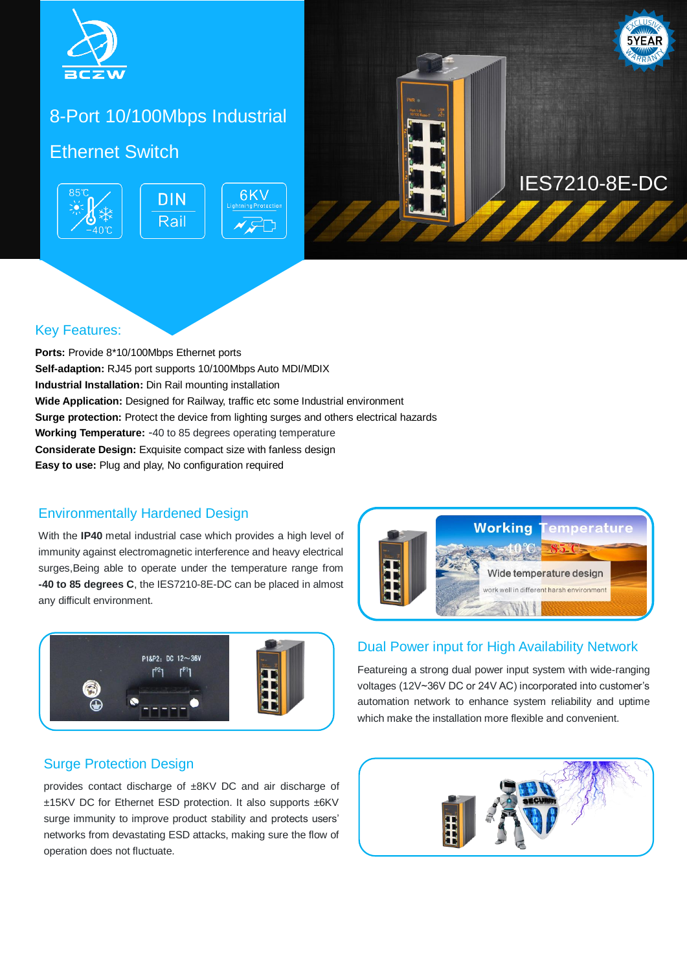

## 8-Port 10/100Mbps Industrial

### Ethernet Switch **Ethernet**





### Key Features:

**Ports:** Provide 8\*10/100Mbps Ethernet ports **Self-adaption:** RJ45 port supports 10/100Mbps Auto MDI/MDIX **Industrial Installation:** Din Rail mounting installation **Wide Application:** Designed for Railway, traffic etc some Industrial environment **Surge protection:** Protect the device from lighting surges and others electrical hazards **Working Temperature:** -40 to 85 degrees operating temperature **Considerate Design:** Exquisite compact size with fanless design **Easy to use:** Plug and play, No configuration required

### Environmentally Hardened Design

With the **IP40** metal industrial case which provides a high level of immunity against electromagnetic interference and heavy electrical surges,Being able to operate under the temperature range from **-40 to 85 degrees C**, the IES7210-8E-DC can be placed in almost any difficult environment.



### Surge Protection Design

provides contact discharge of ±8KV DC and air discharge of ±15KV DC for Ethernet ESD protection. It also supports ±6KV surge immunity to improve product stability and protects users' networks from devastating ESD attacks, making sure the flow of operation does not fluctuate.



### Dual Power input for High Availability Network

Featureing a strong dual power input system with wide-ranging voltages (12V~36V DC or 24V AC) incorporated into customer's automation network to enhance system reliability and uptime which make the installation more flexible and convenient.

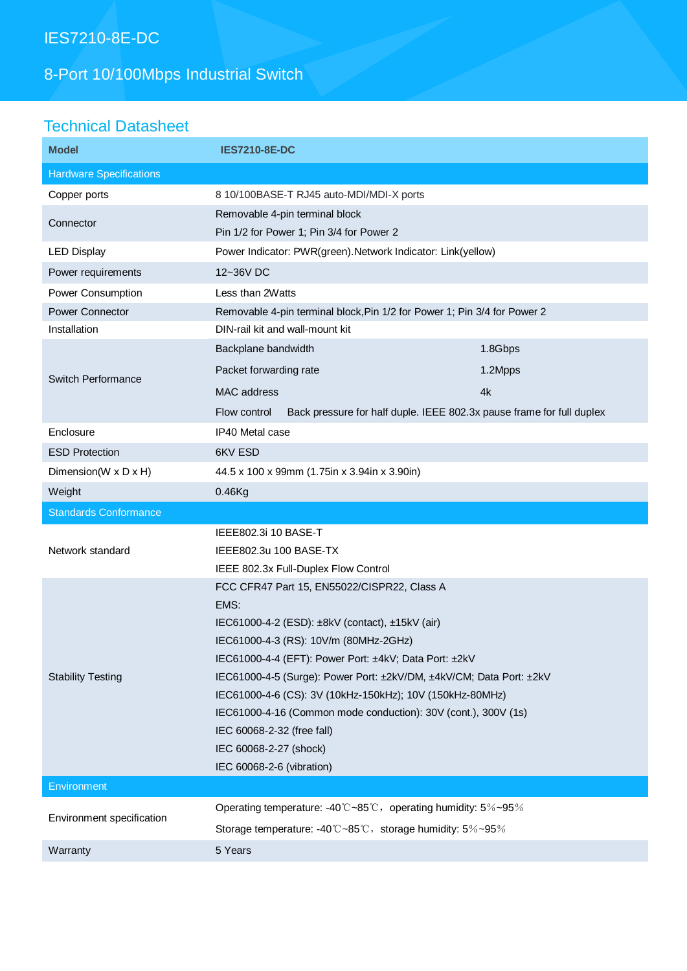## IES7210-8E-DC

# 8-Port 10/100Mbps Industrial Switch

## Technical Datasheet

| <b>Model</b>                   | <b>IES7210-8E-DC</b>                                                                                                         |         |  |
|--------------------------------|------------------------------------------------------------------------------------------------------------------------------|---------|--|
| <b>Hardware Specifications</b> |                                                                                                                              |         |  |
| Copper ports                   | 8 10/100BASE-T RJ45 auto-MDI/MDI-X ports                                                                                     |         |  |
| Connector                      | Removable 4-pin terminal block                                                                                               |         |  |
|                                | Pin 1/2 for Power 1; Pin 3/4 for Power 2                                                                                     |         |  |
| <b>LED Display</b>             | Power Indicator: PWR(green). Network Indicator: Link(yellow)                                                                 |         |  |
| Power requirements             | 12~36V DC                                                                                                                    |         |  |
| Power Consumption              | Less than 2Watts                                                                                                             |         |  |
| <b>Power Connector</b>         | Removable 4-pin terminal block, Pin 1/2 for Power 1; Pin 3/4 for Power 2                                                     |         |  |
| Installation                   | DIN-rail kit and wall-mount kit                                                                                              |         |  |
| Switch Performance             | Backplane bandwidth                                                                                                          | 1.8Gbps |  |
|                                | Packet forwarding rate                                                                                                       | 1.2Mpps |  |
|                                | <b>MAC</b> address                                                                                                           | 4k      |  |
|                                | Flow control<br>Back pressure for half duple. IEEE 802.3x pause frame for full duplex                                        |         |  |
| Enclosure                      | IP40 Metal case                                                                                                              |         |  |
| <b>ESD Protection</b>          | 6KV ESD                                                                                                                      |         |  |
| Dimension(W x D x H)           | 44.5 x 100 x 99mm (1.75in x 3.94in x 3.90in)                                                                                 |         |  |
| Weight                         | $0.46$ Kg                                                                                                                    |         |  |
| <b>Standards Conformance</b>   |                                                                                                                              |         |  |
| Network standard               | IEEE802.3i 10 BASE-T                                                                                                         |         |  |
|                                | IEEE802.3u 100 BASE-TX                                                                                                       |         |  |
|                                | IEEE 802.3x Full-Duplex Flow Control                                                                                         |         |  |
| <b>Stability Testing</b>       | FCC CFR47 Part 15, EN55022/CISPR22, Class A                                                                                  |         |  |
|                                | EMS:                                                                                                                         |         |  |
|                                | IEC61000-4-2 (ESD): ±8kV (contact), ±15kV (air)                                                                              |         |  |
|                                | IEC61000-4-3 (RS): 10V/m (80MHz-2GHz)                                                                                        |         |  |
|                                | IEC61000-4-4 (EFT): Power Port: ±4kV; Data Port: ±2kV<br>IEC61000-4-5 (Surge): Power Port: ±2kV/DM, ±4kV/CM; Data Port: ±2kV |         |  |
|                                | IEC61000-4-6 (CS): 3V (10kHz-150kHz); 10V (150kHz-80MHz)                                                                     |         |  |
|                                | IEC61000-4-16 (Common mode conduction): 30V (cont.), 300V (1s)                                                               |         |  |
|                                | IEC 60068-2-32 (free fall)                                                                                                   |         |  |
|                                | IEC 60068-2-27 (shock)                                                                                                       |         |  |
|                                | IEC 60068-2-6 (vibration)                                                                                                    |         |  |
| Environment                    |                                                                                                                              |         |  |
| Environment specification      | Operating temperature: -40°C~85°C, operating humidity: 5%~95%                                                                |         |  |
|                                | Storage temperature: -40°C~85°C, storage humidity: 5%~95%                                                                    |         |  |
|                                | 5 Years                                                                                                                      |         |  |
| Warranty                       |                                                                                                                              |         |  |